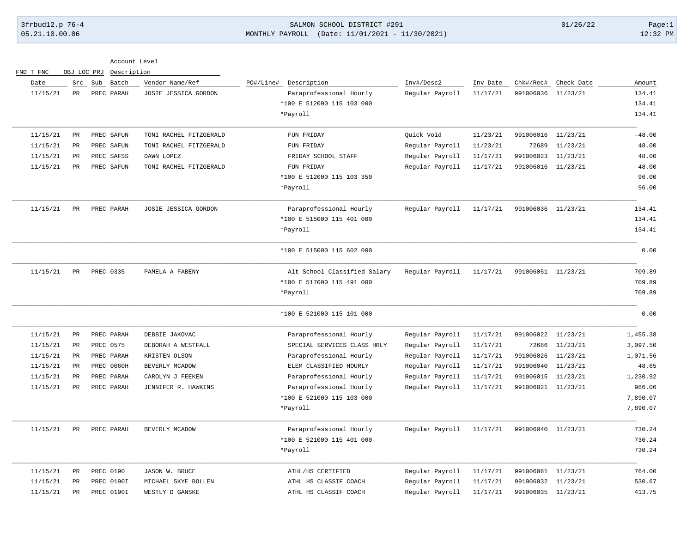FND T FNC OBJ LOC PRJ Description

# 3frbud12.p 76-4 SALMON SCHOOL DISTRICT #291 01/26/22 Page:1 05.21.10.00.06 MONTHLY PAYROLL (Date: 11/01/2021 - 11/30/2021) 12:32 PM

| Date     | Src         | Sub<br>Batch | Vendor Name/Ref        | PO#/Line#<br>Description     | Inv#/Desc2      | Inv Date | Chk#/Rec#          | Check Date | Amount   |
|----------|-------------|--------------|------------------------|------------------------------|-----------------|----------|--------------------|------------|----------|
| 11/15/21 | PR          | PREC PARAH   | JOSIE JESSICA GORDON   | Paraprofessional Hourly      | Regular Payroll | 11/17/21 | 991006036          | 11/23/21   | 134.41   |
|          |             |              |                        | *100 E 512000 115 103 000    |                 |          |                    |            | 134.41   |
|          |             |              |                        | *Payroll                     |                 |          |                    |            | 134.41   |
| 11/15/21 | <b>PR</b>   | PREC SAFUN   | TONI RACHEL FITZGERALD | FUN FRIDAY                   | Quick Void      | 11/23/21 | 991006016          | 11/23/21   | $-48.00$ |
| 11/15/21 | PR          | PREC SAFUN   | TONI RACHEL FITZGERALD | FUN FRIDAY                   | Regular Payroll | 11/23/21 | 72689              | 11/23/21   | 48.00    |
| 11/15/21 | <b>PR</b>   | PREC SAFSS   | DAWN LOPEZ             | FRIDAY SCHOOL STAFF          | Regular Payroll | 11/17/21 | 991006023          | 11/23/21   | 48.00    |
| 11/15/21 | $_{\rm PR}$ | PREC SAFUN   | TONI RACHEL FITZGERALD | FUN FRIDAY                   | Regular Payroll | 11/17/21 | 991006016          | 11/23/21   | 48.00    |
|          |             |              |                        | *100 E 512000 115 103 350    |                 |          |                    |            | 96.00    |
|          |             |              |                        | *Payroll                     |                 |          |                    |            | 96.00    |
| 11/15/21 | PR          | PREC PARAH   | JOSIE JESSICA GORDON   | Paraprofessional Hourly      | Regular Payroll | 11/17/21 | 991006036 11/23/21 |            | 134.41   |
|          |             |              |                        | *100 E 515000 115 401 000    |                 |          |                    |            | 134.41   |
|          |             |              |                        | *Payroll                     |                 |          |                    |            | 134.41   |
|          |             |              |                        | *100 E 515000 115 602 000    |                 |          |                    |            | 0.00     |
| 11/15/21 | PR          | PREC 0335    | PAMELA A FABENY        | Alt School Classified Salary | Regular Payroll | 11/17/21 | 991006051 11/23/21 |            | 709.89   |
|          |             |              |                        | *100 E 517000 115 491 000    |                 |          |                    |            | 709.89   |
|          |             |              |                        | *Payroll                     |                 |          |                    |            | 709.89   |
|          |             |              |                        | *100 E 521000 115 101 000    |                 |          |                    |            | 0.00     |
| 11/15/21 | $_{\rm PR}$ | PREC PARAH   | DEBBIE JAKOVAC         | Paraprofessional Hourly      | Regular Payroll | 11/17/21 | 991006022          | 11/23/21   | 1,455.38 |
| 11/15/21 | PR          | PREC 0575    | DEBORAH A WESTFALL     | SPECIAL SERVICES CLASS HRLY  | Regular Payroll | 11/17/21 | 72686              | 11/23/21   | 3,097.50 |
| 11/15/21 | PR          | PREC PARAH   | KRISTEN OLSON          | Paraprofessional Hourly      | Regular Payroll | 11/17/21 | 991006026          | 11/23/21   | 1,071.56 |
| 11/15/21 | PR          | PREC 0060H   | BEVERLY MCADOW         | ELEM CLASSIFIED HOURLY       | Regular Payroll | 11/17/21 | 991006040          | 11/23/21   | 48.65    |
| 11/15/21 | $_{\rm PR}$ | PREC PARAH   | CAROLYN J FEEKEN       | Paraprofessional Hourly      | Regular Payroll | 11/17/21 | 991006015          | 11/23/21   | 1,230.92 |
| 11/15/21 | PR          | PREC PARAH   | JENNIFER R. HAWKINS    | Paraprofessional Hourly      | Regular Payroll | 11/17/21 | 991006021 11/23/21 |            | 986.06   |
|          |             |              |                        | *100 E 521000 115 103 000    |                 |          |                    |            | 7,890.07 |
|          |             |              |                        | *Payroll                     |                 |          |                    |            | 7,890.07 |
| 11/15/21 | PR          | PREC PARAH   | BEVERLY MCADOW         | Paraprofessional Hourly      | Regular Payroll | 11/17/21 | 991006040 11/23/21 |            | 730.24   |
|          |             |              |                        | *100 E 521000 115 401 000    |                 |          |                    |            | 730.24   |
|          |             |              |                        | *Payroll                     |                 |          |                    |            | 730.24   |
| 11/15/21 | PR          | PREC 0190    | JASON W. BRUCE         | ATHL/HS CERTIFIED            | Regular Payroll | 11/17/21 | 991006061          | 11/23/21   | 764.00   |
| 11/15/21 | PR          | PREC 0190I   | MICHAEL SKYE BOLLEN    | ATHL HS CLASSIF COACH        | Regular Payroll | 11/17/21 | 991006032          | 11/23/21   | 530.67   |
| 11/15/21 | PR          | PREC 0190I   | WESTLY D GANSKE        | ATHL HS CLASSIF COACH        | Regular Payroll | 11/17/21 | 991006035          | 11/23/21   | 413.75   |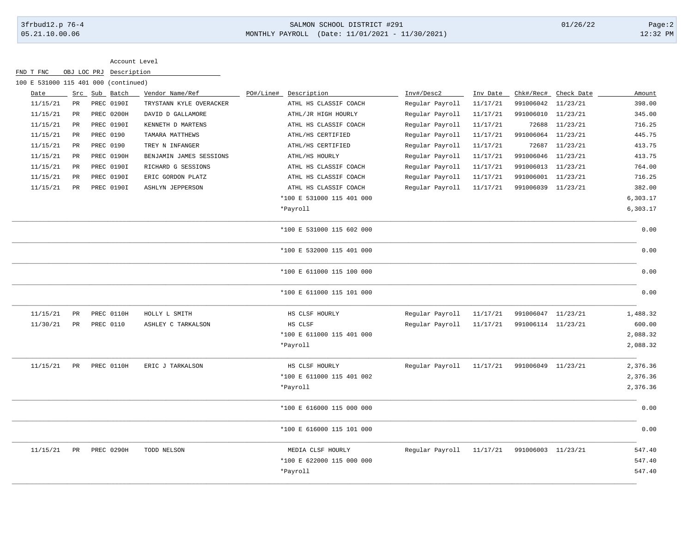FND T FNC OBJ LOC PRJ Description

# 3frbud12.p 76-4 SALMON SCHOOL DISTRICT #291 01/26/22 Page:2 05.21.10.00.06 MONTHLY PAYROLL (Date: 11/01/2021 - 11/30/2021) 12:32 PM

| 100 E 531000 115 401 000 (continued) |             |            |                         |           |                           |                 |          |                    |                |          |
|--------------------------------------|-------------|------------|-------------------------|-----------|---------------------------|-----------------|----------|--------------------|----------------|----------|
| Date                                 | Src         | Sub Batch  | Vendor Name/Ref         | PO#/Line# | Description               | Inv#/Desc2      | Inv Date | Chk#/Rec#          | Check Date     | Amount   |
| 11/15/21                             | $_{\rm PR}$ | PREC 0190I | TRYSTANN KYLE OVERACKER |           | ATHL HS CLASSIF COACH     | Regular Payroll | 11/17/21 | 991006042 11/23/21 |                | 398.00   |
| 11/15/21                             | PR          | PREC 0200H | DAVID D GALLAMORE       |           | ATHL/JR HIGH HOURLY       | Regular Payroll | 11/17/21 | 991006010          | 11/23/21       | 345.00   |
| 11/15/21                             | PR          | PREC 0190I | KENNETH D MARTENS       |           | ATHL HS CLASSIF COACH     | Regular Payroll | 11/17/21 | 72688              | 11/23/21       | 716.25   |
| 11/15/21                             | $_{\rm PR}$ | PREC 0190  | TAMARA MATTHEWS         |           | ATHL/HS CERTIFIED         | Regular Payroll | 11/17/21 | 991006064          | 11/23/21       | 445.75   |
| 11/15/21                             | PR          | PREC 0190  | TREY N INFANGER         |           | ATHL/HS CERTIFIED         | Regular Payroll | 11/17/21 |                    | 72687 11/23/21 | 413.75   |
| 11/15/21                             | PR          | PREC 0190H | BENJAMIN JAMES SESSIONS |           | ATHL/HS HOURLY            | Regular Payroll | 11/17/21 | 991006046 11/23/21 |                | 413.75   |
| 11/15/21                             | PR          | PREC 0190I | RICHARD G SESSIONS      |           | ATHL HS CLASSIF COACH     | Regular Payroll | 11/17/21 | 991006013 11/23/21 |                | 764.00   |
| 11/15/21                             | PR          | PREC 0190I | ERIC GORDON PLATZ       |           | ATHL HS CLASSIF COACH     | Regular Payroll | 11/17/21 | 991006001 11/23/21 |                | 716.25   |
| 11/15/21                             | <b>PR</b>   | PREC 0190I | <b>ASHLYN JEPPERSON</b> |           | ATHL HS CLASSIF COACH     | Regular Payroll | 11/17/21 | 991006039 11/23/21 |                | 382.00   |
|                                      |             |            |                         |           | *100 E 531000 115 401 000 |                 |          |                    |                | 6,303.17 |
|                                      |             |            |                         |           | *Payroll                  |                 |          |                    |                | 6,303.17 |
|                                      |             |            |                         |           | *100 E 531000 115 602 000 |                 |          |                    |                | 0.00     |
|                                      |             |            |                         |           | *100 E 532000 115 401 000 |                 |          |                    |                | 0.00     |
|                                      |             |            |                         |           | *100 E 611000 115 100 000 |                 |          |                    |                | 0.00     |
|                                      |             |            |                         |           | *100 E 611000 115 101 000 |                 |          |                    |                | 0.00     |
| 11/15/21                             | PR          | PREC 0110H | HOLLY L SMITH           |           | HS CLSF HOURLY            | Regular Payroll | 11/17/21 | 991006047 11/23/21 |                | 1,488.32 |
| 11/30/21                             | $_{\rm PR}$ | PREC 0110  | ASHLEY C TARKALSON      |           | HS CLSF                   | Regular Payroll | 11/17/21 | 991006114 11/23/21 |                | 600.00   |
|                                      |             |            |                         |           | *100 E 611000 115 401 000 |                 |          |                    |                | 2,088.32 |
|                                      |             |            |                         |           | *Payroll                  |                 |          |                    |                | 2,088.32 |
| 11/15/21                             | PR          | PREC 0110H | ERIC J TARKALSON        |           | HS CLSF HOURLY            | Regular Payroll | 11/17/21 | 991006049 11/23/21 |                | 2,376.36 |
|                                      |             |            |                         |           | *100 E 611000 115 401 002 |                 |          |                    |                | 2,376.36 |
|                                      |             |            |                         |           | *Payroll                  |                 |          |                    |                | 2,376.36 |
|                                      |             |            |                         |           | *100 E 616000 115 000 000 |                 |          |                    |                | 0.00     |
|                                      |             |            |                         |           | *100 E 616000 115 101 000 |                 |          |                    |                | 0.00     |
| 11/15/21                             | PR          | PREC 0290H | TODD NELSON             |           | MEDIA CLSF HOURLY         | Regular Payroll | 11/17/21 | 991006003 11/23/21 |                | 547.40   |
|                                      |             |            |                         |           | *100 E 622000 115 000 000 |                 |          |                    |                | 547.40   |
|                                      |             |            |                         |           | *Payroll                  |                 |          |                    |                | 547.40   |
|                                      |             |            |                         |           |                           |                 |          |                    |                |          |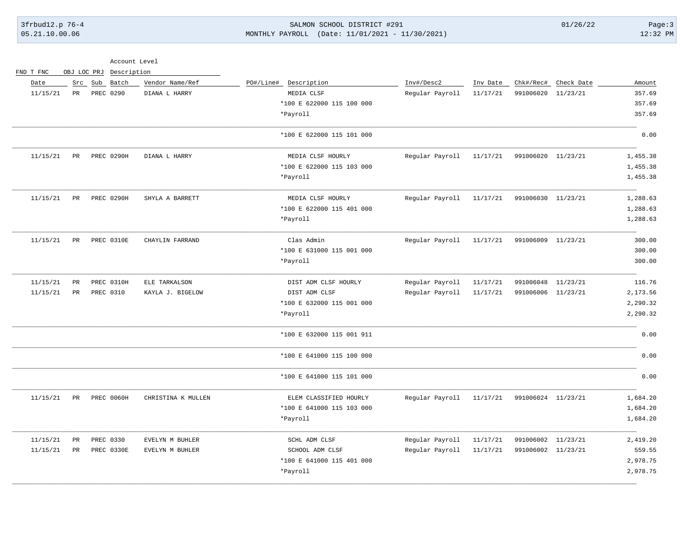3frbud12.p 76-4 SALMON SCHOOL DISTRICT #291 01/26/22 Page:3 05.21.10.00.06 MONTHLY PAYROLL (Date: 11/01/2021 - 11/30/2021) 12:32 PM

|          |            |                    |          |                 |                           |                    | Description | OBJ LOC PRJ | FND T FNC |
|----------|------------|--------------------|----------|-----------------|---------------------------|--------------------|-------------|-------------|-----------|
| Amount   | Check Date | Chk#/Rec#          | Inv Date | Inv#/Desc2      | PO#/Line#<br>Description  | Vendor Name/Ref    | Batch       | Src Sub     | Date      |
| 357.69   | 11/23/21   | 991006020          | 11/17/21 | Regular Payroll | MEDIA CLSF                | DIANA L HARRY      | PREC 0290   | PR          | 11/15/21  |
| 357.69   |            |                    |          |                 | *100 E 622000 115 100 000 |                    |             |             |           |
| 357.69   |            |                    |          |                 | *Payroll                  |                    |             |             |           |
| 0.00     |            |                    |          |                 | *100 E 622000 115 101 000 |                    |             |             |           |
| 1,455.38 |            | 991006020 11/23/21 | 11/17/21 | Regular Payroll | MEDIA CLSF HOURLY         | DIANA L HARRY      | PREC 0290H  | PR          | 11/15/21  |
| 1,455.38 |            |                    |          |                 | *100 E 622000 115 103 000 |                    |             |             |           |
| 1,455.38 |            |                    |          |                 | *Payroll                  |                    |             |             |           |
| 1,288.63 |            | 991006030 11/23/21 | 11/17/21 | Regular Payroll | MEDIA CLSF HOURLY         | SHYLA A BARRETT    | PREC 0290H  | PR          | 11/15/21  |
| 1,288.63 |            |                    |          |                 | *100 E 622000 115 401 000 |                    |             |             |           |
| 1,288.63 |            |                    |          |                 | *Payroll                  |                    |             |             |           |
| 300.00   |            | 991006009 11/23/21 | 11/17/21 | Regular Payroll | Clas Admin                | CHAYLIN FARRAND    | PREC 0310E  | PR          | 11/15/21  |
| 300.00   |            |                    |          |                 | *100 E 631000 115 001 000 |                    |             |             |           |
| 300.00   |            |                    |          |                 | *Payroll                  |                    |             |             |           |
| 116.76   | 11/23/21   | 991006048          | 11/17/21 | Regular Payroll | DIST ADM CLSF HOURLY      | ELE TARKALSON      | PREC 0310H  | PR          | 11/15/21  |
| 2,173.56 |            | 991006006 11/23/21 | 11/17/21 | Regular Payroll | DIST ADM CLSF             | KAYLA J. BIGELOW   | PREC 0310   | PR          | 11/15/21  |
| 2,290.32 |            |                    |          |                 | *100 E 632000 115 001 000 |                    |             |             |           |
| 2,290.32 |            |                    |          |                 | *Payroll                  |                    |             |             |           |
| 0.00     |            |                    |          |                 | *100 E 632000 115 001 911 |                    |             |             |           |
| 0.00     |            |                    |          |                 | *100 E 641000 115 100 000 |                    |             |             |           |
| 0.00     |            |                    |          |                 | *100 E 641000 115 101 000 |                    |             |             |           |
| 1,684.20 |            | 991006024 11/23/21 | 11/17/21 | Regular Payroll | ELEM CLASSIFIED HOURLY    | CHRISTINA K MULLEN | PREC 0060H  | PR          | 11/15/21  |
| 1,684.20 |            |                    |          |                 | *100 E 641000 115 103 000 |                    |             |             |           |
| 1,684.20 |            |                    |          |                 | *Payroll                  |                    |             |             |           |
| 2,419.20 | 11/23/21   | 991006002          | 11/17/21 | Regular Payroll | SCHL ADM CLSF             | EVELYN M BUHLER    | PREC 0330   | $_{\rm PR}$ | 11/15/21  |
| 559.55   |            | 991006002 11/23/21 | 11/17/21 | Regular Payroll | SCHOOL ADM CLSF           | EVELYN M BUHLER    | PREC 0330E  | PR          | 11/15/21  |
| 2,978.75 |            |                    |          |                 | *100 E 641000 115 401 000 |                    |             |             |           |
| 2,978.75 |            |                    |          |                 | *Payroll                  |                    |             |             |           |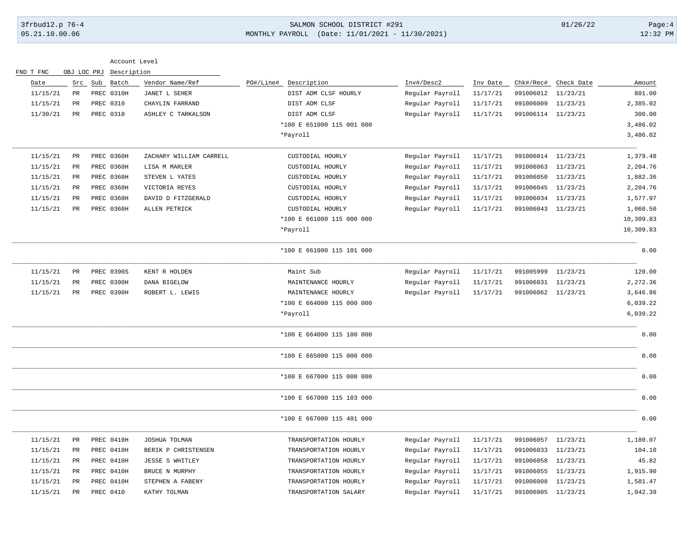# 3frbud12.p 76-4 SALMON SCHOOL DISTRICT #291 01/26/22 Page:4 05.21.10.00.06 MONTHLY PAYROLL (Date: 11/01/2021 - 11/30/2021) 12:32 PM

| Account Level |  |
|---------------|--|
|               |  |

| FND T FNC | OBJ LOC PRJ     | Description |                         |                           |                 |          |                    |            |           |
|-----------|-----------------|-------------|-------------------------|---------------------------|-----------------|----------|--------------------|------------|-----------|
| Date      | Src             | Sub Batch   | Vendor Name/Ref         | PO#/Line#<br>Description  | Inv#/Desc2      | Inv Date | Chk#/Rec#          | Check Date | Amount    |
| 11/15/21  | PR              | PREC 0310H  | JANET L SEHER           | DIST ADM CLSF HOURLY      | Regular Payroll | 11/17/21 | 991006012          | 11/23/21   | 801.00    |
| 11/15/21  | $_{\rm PR}$     | PREC 0310   | CHAYLIN FARRAND         | DIST ADM CLSF             | Regular Payroll | 11/17/21 | 991006009          | 11/23/21   | 2,385.02  |
| 11/30/21  | PR              | PREC 0310   | ASHLEY C TARKALSON      | DIST ADM CLSF             | Regular Payroll | 11/17/21 | 991006114 11/23/21 |            | 300.00    |
|           |                 |             |                         | *100 E 651000 115 001 000 |                 |          |                    |            | 3,486.02  |
|           |                 |             |                         | *Payroll                  |                 |          |                    |            | 3,486.02  |
| 11/15/21  | $_{\rm PR}$     | PREC 0360H  | ZACHARY WILLIAM CARRELL | CUSTODIAL HOURLY          | Regular Payroll | 11/17/21 | 991006014 11/23/21 |            | 1,379.48  |
| 11/15/21  | $_{\rm PR}$     | PREC 0360H  | LISA M MARLER           | CUSTODIAL HOURLY          | Regular Payroll | 11/17/21 | 991006063          | 11/23/21   | 2,204.76  |
| 11/15/21  | PR              | PREC 0360H  | STEVEN L YATES          | CUSTODIAL HOURLY          | Regular Payroll | 11/17/21 | 991006050          | 11/23/21   | 1,882.36  |
| 11/15/21  | PR              | PREC 0360H  | VICTORIA REYES          | CUSTODIAL HOURLY          | Regular Payroll | 11/17/21 | 991006045          | 11/23/21   | 2,204.76  |
| 11/15/21  | PR              | PREC 0360H  | DAVID D FITZGERALD      | CUSTODIAL HOURLY          | Regular Payroll | 11/17/21 | 991006034          | 11/23/21   | 1,577.97  |
| 11/15/21  | PR              | PREC 0360H  | ALLEN PETRICK           | CUSTODIAL HOURLY          | Regular Payroll | 11/17/21 | 991006043          | 11/23/21   | 1,060.50  |
|           |                 |             |                         | *100 E 661000 115 000 000 |                 |          |                    |            | 10,309.83 |
|           |                 |             |                         | *Payroll                  |                 |          |                    |            | 10,309.83 |
|           |                 |             |                         | *100 E 661000 115 101 000 |                 |          |                    |            | 0.00      |
| 11/15/21  | $_{\rm PR}$     | PREC 0390S  | KENT R HOLDEN           | Maint Sub                 | Regular Payroll | 11/17/21 | 991005999          | 11/23/21   | 120.00    |
| 11/15/21  | PR              | PREC 0390H  | DANA BIGELOW            | MAINTENANCE HOURLY        | Regular Payroll | 11/17/21 | 991006031          | 11/23/21   | 2,272.36  |
| 11/15/21  | PR              | PREC 0390H  | ROBERT L. LEWIS         | MAINTENANCE HOURLY        | Regular Payroll | 11/17/21 | 991006062 11/23/21 |            | 3,646.86  |
|           |                 |             |                         | *100 E 664000 115 000 000 |                 |          |                    |            | 6,039.22  |
|           |                 |             |                         | *Payroll                  |                 |          |                    |            | 6,039.22  |
|           |                 |             |                         | *100 E 664000 115 100 000 |                 |          |                    |            | 0.00      |
|           |                 |             |                         | *100 E 665000 115 000 000 |                 |          |                    |            | 0.00      |
|           |                 |             |                         | *100 E 667000 115 000 000 |                 |          |                    |            | 0.00      |
|           |                 |             |                         | *100 E 667000 115 103 000 |                 |          |                    |            | 0.00      |
|           |                 |             |                         | *100 E 667000 115 401 000 |                 |          |                    |            | 0.00      |
| 11/15/21  | PR              | PREC 0410H  | JOSHUA TOLMAN           | TRANSPORTATION HOURLY     | Regular Payroll | 11/17/21 | 991006057          | 11/23/21   | 1,180.07  |
| 11/15/21  | PR              | PREC 0410H  | BERIK P CHRISTENSEN     | TRANSPORTATION HOURLY     | Regular Payroll | 11/17/21 | 991006033          | 11/23/21   | 104.10    |
| 11/15/21  | $\mbox{\sf PR}$ | PREC 0410H  | <b>JESSE S WHITLEY</b>  | TRANSPORTATION HOURLY     | Regular Payroll | 11/17/21 | 991006058          | 11/23/21   | 45.82     |
| 11/15/21  | $\mbox{\sf PR}$ | PREC 0410H  | BRUCE N MURPHY          | TRANSPORTATION HOURLY     | Regular Payroll | 11/17/21 | 991006055          | 11/23/21   | 1,915.90  |
| 11/15/21  | PR              | PREC 0410H  | STEPHEN A FABENY        | TRANSPORTATION HOURLY     | Regular Payroll | 11/17/21 | 991006008          | 11/23/21   | 1,581.47  |
| 11/15/21  | PR              | PREC 0410   | KATHY TOLMAN            | TRANSPORTATION SALARY     | Regular Payroll | 11/17/21 | 991006005          | 11/23/21   | 1,042.39  |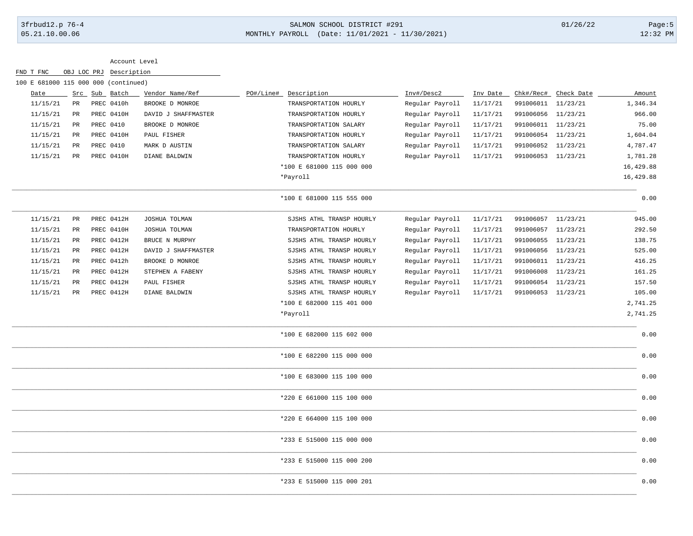FND T FNC OBJ LOC PRJ Description

# 3frbud12.p 76-4 SALMON SCHOOL DISTRICT #291 01/26/22 Page:5 05.21.10.00.06 MONTHLY PAYROLL (Date: 11/01/2021 - 11/30/2021) 12:32 PM

| 100 E 681000 115 000 000 (continued) |             |            |                     |           |                           |                 |          |                    |                      |           |
|--------------------------------------|-------------|------------|---------------------|-----------|---------------------------|-----------------|----------|--------------------|----------------------|-----------|
| Date                                 | Src         | Sub Batch  | Vendor Name/Ref     | PO#/Line# | Description               | Inv#/Desc2      | Inv Date |                    | Chk#/Rec# Check Date | Amount    |
| 11/15/21                             | PR          | PREC 0410h | BROOKE D MONROE     |           | TRANSPORTATION HOURLY     | Regular Payroll | 11/17/21 | 991006011          | 11/23/21             | 1,346.34  |
| 11/15/21                             | $_{\rm PR}$ | PREC 0410H | DAVID J SHAFFMASTER |           | TRANSPORTATION HOURLY     | Regular Payroll | 11/17/21 | 991006056          | 11/23/21             | 966.00    |
| 11/15/21                             | PR          | PREC 0410  | BROOKE D MONROE     |           | TRANSPORTATION SALARY     | Regular Payroll | 11/17/21 | 991006011 11/23/21 |                      | 75.00     |
| 11/15/21                             | $_{\rm PR}$ | PREC 0410H | PAUL FISHER         |           | TRANSPORTATION HOURLY     | Regular Payroll | 11/17/21 | 991006054 11/23/21 |                      | 1,604.04  |
| 11/15/21                             | PR          | PREC 0410  | MARK D AUSTIN       |           | TRANSPORTATION SALARY     | Regular Payroll | 11/17/21 | 991006052          | 11/23/21             | 4,787.47  |
| 11/15/21                             | $_{\rm PR}$ | PREC 0410H | DIANE BALDWIN       |           | TRANSPORTATION HOURLY     | Regular Payroll | 11/17/21 | 991006053 11/23/21 |                      | 1,781.28  |
|                                      |             |            |                     |           | *100 E 681000 115 000 000 |                 |          |                    |                      | 16,429.88 |
|                                      |             |            |                     |           | *Payroll                  |                 |          |                    |                      | 16,429.88 |
|                                      |             |            |                     |           | *100 E 681000 115 555 000 |                 |          |                    |                      | 0.00      |
| 11/15/21                             | PR          | PREC 0412H | JOSHUA TOLMAN       |           | SJSHS ATHL TRANSP HOURLY  | Regular Payroll | 11/17/21 | 991006057 11/23/21 |                      | 945.00    |
| 11/15/21                             | PR          | PREC 0410H | JOSHUA TOLMAN       |           | TRANSPORTATION HOURLY     | Regular Payroll | 11/17/21 | 991006057          | 11/23/21             | 292.50    |
| 11/15/21                             | PR          | PREC 0412H | BRUCE N MURPHY      |           | SJSHS ATHL TRANSP HOURLY  | Regular Payroll | 11/17/21 | 991006055          | 11/23/21             | 138.75    |
| 11/15/21                             | PR          | PREC 0412H | DAVID J SHAFFMASTER |           | SJSHS ATHL TRANSP HOURLY  | Regular Payroll | 11/17/21 | 991006056          | 11/23/21             | 525.00    |
| 11/15/21                             | PR          | PREC 0412h | BROOKE D MONROE     |           | SJSHS ATHL TRANSP HOURLY  | Regular Payroll | 11/17/21 | 991006011 11/23/21 |                      | 416.25    |
| 11/15/21                             | PR          | PREC 0412H | STEPHEN A FABENY    |           | SJSHS ATHL TRANSP HOURLY  | Regular Payroll | 11/17/21 | 991006008          | 11/23/21             | 161.25    |
| 11/15/21                             | PR          | PREC 0412H | PAUL FISHER         |           | SJSHS ATHL TRANSP HOURLY  | Regular Payroll | 11/17/21 | 991006054          | 11/23/21             | 157.50    |
| 11/15/21                             | PR          | PREC 0412H | DIANE BALDWIN       |           | SJSHS ATHL TRANSP HOURLY  | Regular Payroll | 11/17/21 | 991006053 11/23/21 |                      | 105.00    |
|                                      |             |            |                     |           | *100 E 682000 115 401 000 |                 |          |                    |                      | 2,741.25  |
|                                      |             |            |                     |           | *Payroll                  |                 |          |                    |                      | 2,741.25  |
|                                      |             |            |                     |           | *100 E 682000 115 602 000 |                 |          |                    |                      | 0.00      |
|                                      |             |            |                     |           | *100 E 682200 115 000 000 |                 |          |                    |                      | 0.00      |
|                                      |             |            |                     |           | *100 E 683000 115 100 000 |                 |          |                    |                      | 0.00      |
|                                      |             |            |                     |           | *220 E 661000 115 100 000 |                 |          |                    |                      | 0.00      |
|                                      |             |            |                     |           | *220 E 664000 115 100 000 |                 |          |                    |                      | 0.00      |
|                                      |             |            |                     |           | *233 E 515000 115 000 000 |                 |          |                    |                      | 0.00      |
|                                      |             |            |                     |           | *233 E 515000 115 000 200 |                 |          |                    |                      | 0.00      |
|                                      |             |            |                     |           | *233 E 515000 115 000 201 |                 |          |                    |                      | 0.00      |
|                                      |             |            |                     |           |                           |                 |          |                    |                      |           |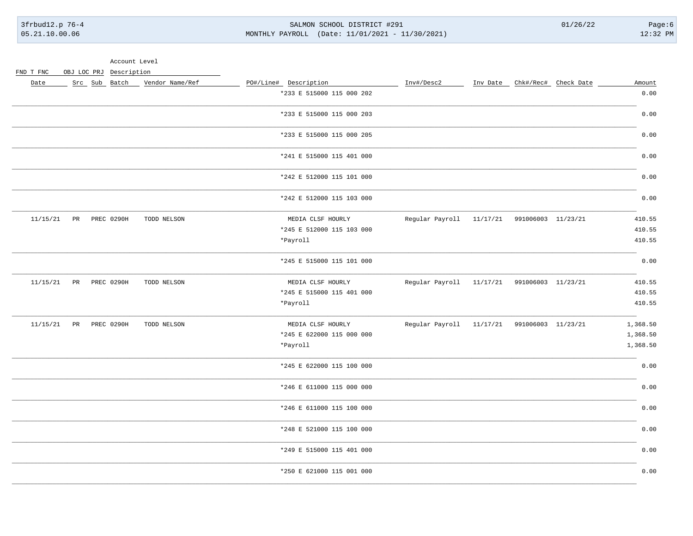3frbud12.p 76-4 05.21.10.00.06

SALMON SCHOOL DISTRICT #291 MONTHLY PAYROLL (Date: 11/01/2021 - 11/30/2021)  $01/26/22$ 

 $Page:6$  $12:32$  PM

Account Level

FND T FNC OBJ LOC PRJ Description

| Date                   |    | Src Sub Batch | Vendor Name/Ref | PO#/Line# Description     | Inv#/Desc2      |          |                               | Inv Date _ Chk#/Rec# _ Check Date | Amount   |
|------------------------|----|---------------|-----------------|---------------------------|-----------------|----------|-------------------------------|-----------------------------------|----------|
|                        |    |               |                 | *233 E 515000 115 000 202 |                 |          |                               |                                   | 0.00     |
|                        |    |               |                 | *233 E 515000 115 000 203 |                 |          |                               |                                   | 0.00     |
|                        |    |               |                 | *233 E 515000 115 000 205 |                 |          |                               |                                   | 0.00     |
|                        |    |               |                 | *241 E 515000 115 401 000 |                 |          |                               |                                   | 0.00     |
|                        |    |               |                 | *242 E 512000 115 101 000 |                 |          |                               |                                   | 0.00     |
|                        |    |               |                 | *242 E 512000 115 103 000 |                 |          |                               |                                   | 0.00     |
| 11/15/21               | PR | PREC 0290H    | TODD NELSON     | MEDIA CLSF HOURLY         | Regular Payroll | 11/17/21 | 991006003 11/23/21            |                                   | 410.55   |
|                        |    |               |                 | *245 E 512000 115 103 000 |                 |          |                               |                                   | 410.55   |
|                        |    |               |                 | *Payroll                  |                 |          |                               |                                   | 410.55   |
|                        |    |               |                 | *245 E 515000 115 101 000 |                 |          |                               |                                   | 0.00     |
| 11/15/21               | PR | PREC 0290H    | TODD NELSON     | MEDIA CLSF HOURLY         | Regular Payroll | 11/17/21 | 991006003 11/23/21            |                                   | 410.55   |
|                        |    |               |                 | *245 E 515000 115 401 000 |                 |          |                               |                                   | 410.55   |
|                        |    |               |                 | *Payroll                  |                 |          |                               |                                   | 410.55   |
| 11/15/21 PR PREC 0290H |    |               | TODD NELSON     | MEDIA CLSF HOURLY         | Regular Payroll |          | 11/17/21  991006003  11/23/21 |                                   | 1,368.50 |
|                        |    |               |                 | *245 E 622000 115 000 000 |                 |          |                               |                                   | 1,368.50 |
|                        |    |               |                 | *Payroll                  |                 |          |                               |                                   | 1,368.50 |
|                        |    |               |                 | *245 E 622000 115 100 000 |                 |          |                               |                                   | 0.00     |
|                        |    |               |                 | *246 E 611000 115 000 000 |                 |          |                               |                                   | 0.00     |
|                        |    |               |                 | *246 E 611000 115 100 000 |                 |          |                               |                                   | 0.00     |
|                        |    |               |                 | *248 E 521000 115 100 000 |                 |          |                               |                                   | 0.00     |
|                        |    |               |                 | *249 E 515000 115 401 000 |                 |          |                               |                                   | 0.00     |
|                        |    |               |                 | *250 E 621000 115 001 000 |                 |          |                               |                                   | 0.00     |
|                        |    |               |                 |                           |                 |          |                               |                                   |          |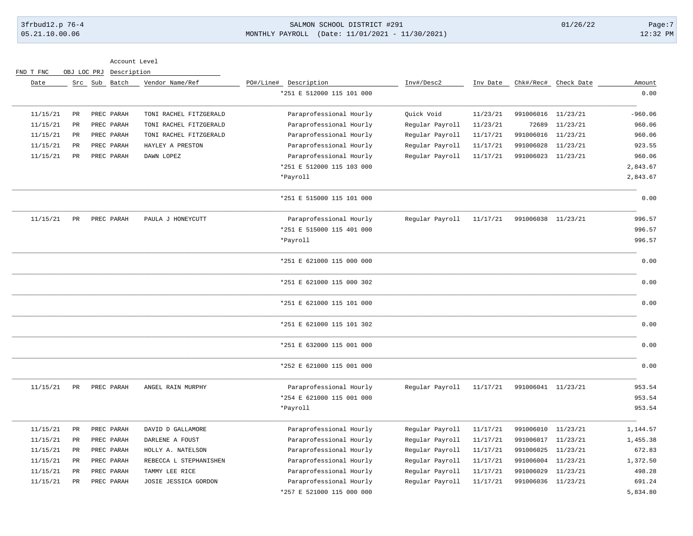## 3frbud12.p 76-4 SALMON SCHOOL DISTRICT #291 01/26/22 Page:7 05.21.10.00.06 MONTHLY PAYROLL (Date: 11/01/2021 - 11/30/2021) 12:32 PM

| FND T FNC |             | OBJ LOC PRJ | Description   |                        |                           |                 |          |                    |            |           |
|-----------|-------------|-------------|---------------|------------------------|---------------------------|-----------------|----------|--------------------|------------|-----------|
| Date      |             |             | Src Sub Batch | Vendor Name/Ref        | PO#/Line# Description     | Inv#/Desc2      | Inv Date | Chk#/Rec#          | Check Date | Amount    |
|           |             |             |               |                        | *251 E 512000 115 101 000 |                 |          |                    |            | 0.00      |
| 11/15/21  | PR          |             | PREC PARAH    | TONI RACHEL FITZGERALD | Paraprofessional Hourly   | Quick Void      | 11/23/21 | 991006016          | 11/23/21   | $-960.06$ |
| 11/15/21  | PR          |             | PREC PARAH    | TONI RACHEL FITZGERALD | Paraprofessional Hourly   | Regular Payroll | 11/23/21 | 72689              | 11/23/21   | 960.06    |
| 11/15/21  | PR          |             | PREC PARAH    | TONI RACHEL FITZGERALD | Paraprofessional Hourly   | Regular Payroll | 11/17/21 | 991006016          | 11/23/21   | 960.06    |
| 11/15/21  | PR          |             | PREC PARAH    | HAYLEY A PRESTON       | Paraprofessional Hourly   | Regular Payroll | 11/17/21 | 991006028          | 11/23/21   | 923.55    |
| 11/15/21  | PR          |             | PREC PARAH    | DAWN LOPEZ             | Paraprofessional Hourly   | Regular Payroll | 11/17/21 | 991006023          | 11/23/21   | 960.06    |
|           |             |             |               |                        | *251 E 512000 115 103 000 |                 |          |                    |            | 2,843.67  |
|           |             |             |               |                        | *Payroll                  |                 |          |                    |            | 2,843.67  |
|           |             |             |               |                        | *251 E 515000 115 101 000 |                 |          |                    |            | 0.00      |
| 11/15/21  | PR          |             | PREC PARAH    | PAULA J HONEYCUTT      | Paraprofessional Hourly   | Regular Payroll | 11/17/21 | 991006038 11/23/21 |            | 996.57    |
|           |             |             |               |                        | *251 E 515000 115 401 000 |                 |          |                    |            | 996.57    |
|           |             |             |               |                        | *Payroll                  |                 |          |                    |            | 996.57    |
|           |             |             |               |                        | *251 E 621000 115 000 000 |                 |          |                    |            | 0.00      |
|           |             |             |               |                        | *251 E 621000 115 000 302 |                 |          |                    |            | 0.00      |
|           |             |             |               |                        | *251 E 621000 115 101 000 |                 |          |                    |            | 0.00      |
|           |             |             |               |                        | *251 E 621000 115 101 302 |                 |          |                    |            | 0.00      |
|           |             |             |               |                        | *251 E 632000 115 001 000 |                 |          |                    |            | 0.00      |
|           |             |             |               |                        | *252 E 621000 115 001 000 |                 |          |                    |            | 0.00      |
| 11/15/21  | PR          |             | PREC PARAH    | ANGEL RAIN MURPHY      | Paraprofessional Hourly   | Regular Payroll | 11/17/21 | 991006041 11/23/21 |            | 953.54    |
|           |             |             |               |                        | *254 E 621000 115 001 000 |                 |          |                    |            | 953.54    |
|           |             |             |               |                        | *Payroll                  |                 |          |                    |            | 953.54    |
| 11/15/21  | PR          |             | PREC PARAH    | DAVID D GALLAMORE      | Paraprofessional Hourly   | Regular Payroll | 11/17/21 | 991006010          | 11/23/21   | 1,144.57  |
| 11/15/21  | PR          |             | PREC PARAH    | DARLENE A FOUST        | Paraprofessional Hourly   | Regular Payroll | 11/17/21 | 991006017          | 11/23/21   | 1,455.38  |
| 11/15/21  | PR          |             | PREC PARAH    | HOLLY A. NATELSON      | Paraprofessional Hourly   | Regular Payroll | 11/17/21 | 991006025          | 11/23/21   | 672.83    |
| 11/15/21  | $_{\rm PR}$ |             | PREC PARAH    | REBECCA L STEPHANISHEN | Paraprofessional Hourly   | Regular Payroll | 11/17/21 | 991006004          | 11/23/21   | 1,372.50  |
| 11/15/21  | $_{\rm PR}$ |             | PREC PARAH    | TAMMY LEE RICE         | Paraprofessional Hourly   | Regular Payroll | 11/17/21 | 991006029          | 11/23/21   | 498.28    |
| 11/15/21  | PR          |             | PREC PARAH    | JOSIE JESSICA GORDON   | Paraprofessional Hourly   | Regular Payroll | 11/17/21 | 991006036          | 11/23/21   | 691.24    |
|           |             |             |               |                        | *257 E 521000 115 000 000 |                 |          |                    |            | 5,834.80  |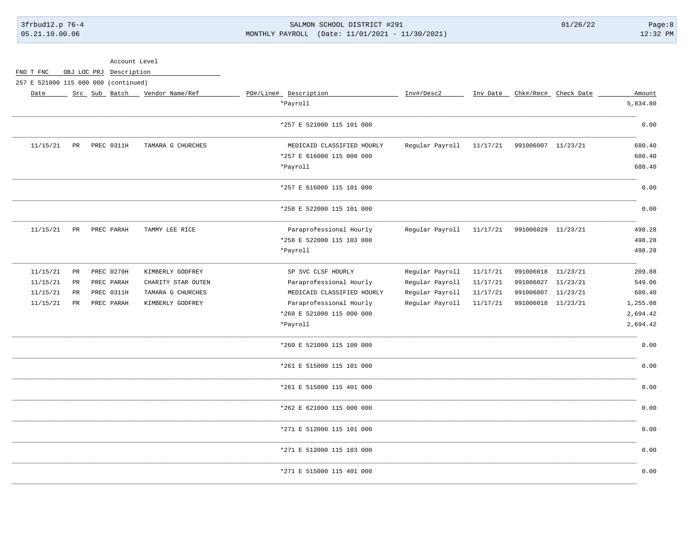# 3frbud12.p 76-4 SALMON SCHOOL DISTRICT #291 01/26/22 Page:8 05.21.10.00.06 MONTHLY PAYROLL (Date: 11/01/2021 - 11/30/2021) 12:32 PM

|                                      | Account Level   |  |                         |                                 |                            |                 |          |                               |          |          |
|--------------------------------------|-----------------|--|-------------------------|---------------------------------|----------------------------|-----------------|----------|-------------------------------|----------|----------|
| FND T FNC                            |                 |  | OBJ LOC PRJ Description |                                 |                            |                 |          |                               |          |          |
| 257 E 521000 115 000 000 (continued) |                 |  |                         |                                 |                            |                 |          |                               |          |          |
| Date                                 |                 |  |                         | Src Sub Batch _ Vendor Name/Ref | PO#/Line# Description      | Inv#/Desc2      |          | Inv Date Chk#/Rec# Check Date |          | Amount   |
|                                      |                 |  |                         |                                 | *Payroll                   |                 |          |                               |          | 5,834.80 |
|                                      |                 |  |                         |                                 | *257 E 521000 115 101 000  |                 |          |                               |          | 0.00     |
| 11/15/21                             | PR              |  | PREC 0311H              | TAMARA G CHURCHES               | MEDICAID CLASSIFIED HOURLY | Regular Payroll | 11/17/21 | 991006007 11/23/21            |          | 680.40   |
|                                      |                 |  |                         |                                 | *257 E 616000 115 000 000  |                 |          |                               |          | 680.40   |
|                                      |                 |  |                         |                                 | *Payroll                   |                 |          |                               |          | 680.40   |
|                                      |                 |  |                         |                                 | *257 E 616000 115 101 000  |                 |          |                               |          | 0.00     |
|                                      |                 |  |                         |                                 | *258 E 522000 115 101 000  |                 |          |                               |          | 0.00     |
| 11/15/21                             | $\mbox{\sf PR}$ |  | PREC PARAH              | TAMMY LEE RICE                  | Paraprofessional Hourly    | Regular Payroll | 11/17/21 | 991006029 11/23/21            |          | 498.28   |
|                                      |                 |  |                         |                                 | *258 E 522000 115 103 000  |                 |          |                               |          | 498.28   |
|                                      |                 |  |                         |                                 | *Payroll                   |                 |          |                               |          | 498.28   |
| 11/15/21                             | $_{\rm PR}$     |  | PREC 0270H              | KIMBERLY GODFREY                | SP SVC CLSF HOURLY         | Regular Payroll | 11/17/21 | 991006018 11/23/21            |          | 209.88   |
| 11/15/21                             | PR              |  | PREC PARAH              | CHARITY STAR OUTEN              | Paraprofessional Hourly    | Regular Payroll | 11/17/21 | 991006027                     | 11/23/21 | 549.06   |
| 11/15/21                             | PR              |  | PREC 0311H              | TAMARA G CHURCHES               | MEDICAID CLASSIFIED HOURLY | Regular Payroll | 11/17/21 | 991006007 11/23/21            |          | 680.40   |
| 11/15/21                             | PR              |  | PREC PARAH              | KIMBERLY GODFREY                | Paraprofessional Hourly    | Regular Payroll | 11/17/21 | 991006018 11/23/21            |          | 1,255.08 |
|                                      |                 |  |                         |                                 | *260 E 521000 115 000 000  |                 |          |                               |          | 2,694.42 |
|                                      |                 |  |                         |                                 | *Payroll                   |                 |          |                               |          | 2,694.42 |
|                                      |                 |  |                         |                                 | *260 E 521000 115 100 000  |                 |          |                               |          | 0.00     |
|                                      |                 |  |                         |                                 | *261 E 515000 115 101 000  |                 |          |                               |          | 0.00     |
|                                      |                 |  |                         |                                 | *261 E 515000 115 401 000  |                 |          |                               |          | 0.00     |
|                                      |                 |  |                         |                                 | *262 E 621000 115 000 000  |                 |          |                               |          | 0.00     |
|                                      |                 |  |                         |                                 | *271 E 512000 115 101 000  |                 |          |                               |          | 0.00     |
|                                      |                 |  |                         |                                 | *271 E 512000 115 103 000  |                 |          |                               |          | 0.00     |
|                                      |                 |  |                         |                                 | *271 E 515000 115 401 000  |                 |          |                               |          | 0.00     |
|                                      |                 |  |                         |                                 |                            |                 |          |                               |          |          |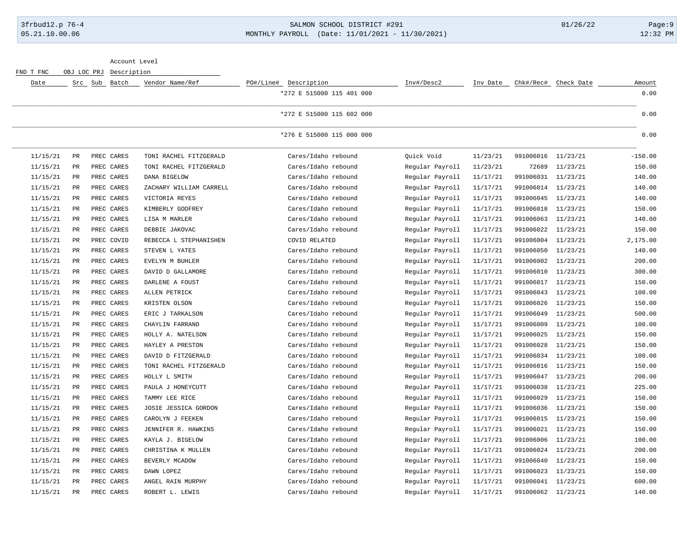### 3frbud12.p 76-4 SALMON SCHOOL DISTRICT #291 01/26/22 Page:9 05.21.10.00.06 MONTHLY PAYROLL (Date: 11/01/2021 - 11/30/2021) 12:32 PM

Account Level

FND T FNC OBJ LOC PRJ Description

| Date     | Src             | Sub Batch  | Vendor Name/Ref         | PO#/Line# | Description               | Inv#/Desc2      | Inv Date | Chk#/Rec#          | Check Date | Amount    |
|----------|-----------------|------------|-------------------------|-----------|---------------------------|-----------------|----------|--------------------|------------|-----------|
|          |                 |            |                         |           | *272 E 515000 115 401 000 |                 |          |                    |            | 0.00      |
|          |                 |            |                         |           | *272 E 515000 115 602 000 |                 |          |                    |            | 0.00      |
|          |                 |            |                         |           | *276 E 515000 115 000 000 |                 |          |                    |            | 0.00      |
| 11/15/21 | $_{\rm PR}$     | PREC CARES | TONI RACHEL FITZGERALD  |           | Cares/Idaho rebound       | Quick Void      | 11/23/21 | 991006016          | 11/23/21   | $-150.00$ |
| 11/15/21 | PR              | PREC CARES | TONI RACHEL FITZGERALD  |           | Cares/Idaho rebound       | Regular Payroll | 11/23/21 | 72689              | 11/23/21   | 150.00    |
| 11/15/21 | PR              | PREC CARES | DANA BIGELOW            |           | Cares/Idaho rebound       | Regular Payroll | 11/17/21 | 991006031          | 11/23/21   | 140.00    |
| 11/15/21 | PR              | PREC CARES | ZACHARY WILLIAM CARRELL |           | Cares/Idaho rebound       | Regular Payroll | 11/17/21 | 991006014 11/23/21 |            | 140.00    |
| 11/15/21 | $_{\rm PR}$     | PREC CARES | VICTORIA REYES          |           | Cares/Idaho rebound       | Regular Payroll | 11/17/21 | 991006045          | 11/23/21   | 140.00    |
| 11/15/21 | PR              | PREC CARES | KIMBERLY GODFREY        |           | Cares/Idaho rebound       | Regular Payroll | 11/17/21 | 991006018          | 11/23/21   | 150.00    |
| 11/15/21 | $_{\rm PR}$     | PREC CARES | LISA M MARLER           |           | Cares/Idaho rebound       | Regular Payroll | 11/17/21 | 991006063          | 11/23/21   | 140.00    |
| 11/15/21 | $_{\rm PR}$     | PREC CARES | DEBBIE JAKOVAC          |           | Cares/Idaho rebound       | Regular Payroll | 11/17/21 | 991006022          | 11/23/21   | 150.00    |
| 11/15/21 | $_{\rm PR}$     | PREC COVID | REBECCA L STEPHANISHEN  |           | COVID RELATED             | Regular Payroll | 11/17/21 | 991006004          | 11/23/21   | 2,175.00  |
| 11/15/21 | PR              | PREC CARES | STEVEN L YATES          |           | Cares/Idaho rebound       | Regular Payroll | 11/17/21 | 991006050          | 11/23/21   | 140.00    |
| 11/15/21 | $_{\rm PR}$     | PREC CARES | EVELYN M BUHLER         |           | Cares/Idaho rebound       | Regular Payroll | 11/17/21 | 991006002          | 11/23/21   | 200.00    |
| 11/15/21 | PR              | PREC CARES | DAVID D GALLAMORE       |           | Cares/Idaho rebound       | Regular Payroll | 11/17/21 | 991006010          | 11/23/21   | 300.00    |
| 11/15/21 | $_{\rm PR}$     | PREC CARES | DARLENE A FOUST         |           | Cares/Idaho rebound       | Regular Payroll | 11/17/21 | 991006017          | 11/23/21   | 150.00    |
| 11/15/21 | $\mbox{\sf PR}$ | PREC CARES | ALLEN PETRICK           |           | Cares/Idaho rebound       | Regular Payroll | 11/17/21 | 991006043          | 11/23/21   | 100.00    |
| 11/15/21 | $_{\rm PR}$     | PREC CARES | KRISTEN OLSON           |           | Cares/Idaho rebound       | Regular Payroll | 11/17/21 | 991006026          | 11/23/21   | 150.00    |
| 11/15/21 | $_{\rm PR}$     | PREC CARES | ERIC J TARKALSON        |           | Cares/Idaho rebound       | Regular Payroll | 11/17/21 | 991006049          | 11/23/21   | 500.00    |
| 11/15/21 | $_{\rm PR}$     | PREC CARES | CHAYLIN FARRAND         |           | Cares/Idaho rebound       | Regular Payroll | 11/17/21 | 991006009          | 11/23/21   | 100.00    |
| 11/15/21 | PR              | PREC CARES | HOLLY A. NATELSON       |           | Cares/Idaho rebound       | Regular Payroll | 11/17/21 | 991006025          | 11/23/21   | 150.00    |
| 11/15/21 | $_{\rm PR}$     | PREC CARES | HAYLEY A PRESTON        |           | Cares/Idaho rebound       | Regular Payroll | 11/17/21 | 991006028          | 11/23/21   | 150.00    |
| 11/15/21 | PR              | PREC CARES | DAVID D FITZGERALD      |           | Cares/Idaho rebound       | Regular Payroll | 11/17/21 | 991006034 11/23/21 |            | 100.00    |
| 11/15/21 | $_{\rm PR}$     | PREC CARES | TONI RACHEL FITZGERALD  |           | Cares/Idaho rebound       | Regular Payroll | 11/17/21 | 991006016          | 11/23/21   | 150.00    |
| 11/15/21 | $\mbox{\sf PR}$ | PREC CARES | HOLLY L SMITH           |           | Cares/Idaho rebound       | Regular Payroll | 11/17/21 | 991006047          | 11/23/21   | 200.00    |
| 11/15/21 | $_{\rm PR}$     | PREC CARES | PAULA J HONEYCUTT       |           | Cares/Idaho rebound       | Regular Payroll | 11/17/21 | 991006038          | 11/23/21   | 225.00    |
| 11/15/21 | PR              | PREC CARES | TAMMY LEE RICE          |           | Cares/Idaho rebound       | Regular Payroll | 11/17/21 | 991006029          | 11/23/21   | 150.00    |
| 11/15/21 | $_{\rm PR}$     | PREC CARES | JOSIE JESSICA GORDON    |           | Cares/Idaho rebound       | Regular Payroll | 11/17/21 | 991006036          | 11/23/21   | 150.00    |
| 11/15/21 | $\mbox{\sf PR}$ | PREC CARES | CAROLYN J FEEKEN        |           | Cares/Idaho rebound       | Regular Payroll | 11/17/21 | 991006015          | 11/23/21   | 150.00    |
| 11/15/21 | $_{\rm PR}$     | PREC CARES | JENNIFER R. HAWKINS     |           | Cares/Idaho rebound       | Regular Payroll | 11/17/21 | 991006021          | 11/23/21   | 150.00    |
| 11/15/21 | PR              | PREC CARES | KAYLA J. BIGELOW        |           | Cares/Idaho rebound       | Regular Payroll | 11/17/21 | 991006006          | 11/23/21   | 100.00    |
| 11/15/21 | $_{\rm PR}$     | PREC CARES | CHRISTINA K MULLEN      |           | Cares/Idaho rebound       | Regular Payroll | 11/17/21 | 991006024 11/23/21 |            | 200.00    |
| 11/15/21 | $_{\rm PR}$     | PREC CARES | BEVERLY MCADOW          |           | Cares/Idaho rebound       | Regular Payroll | 11/17/21 | 991006040          | 11/23/21   | 150.00    |
| 11/15/21 | $_{\rm PR}$     | PREC CARES | DAWN LOPEZ              |           | Cares/Idaho rebound       | Regular Payroll | 11/17/21 | 991006023          | 11/23/21   | 150.00    |
| 11/15/21 | PR              | PREC CARES | ANGEL RAIN MURPHY       |           | Cares/Idaho rebound       | Regular Payroll | 11/17/21 | 991006041          | 11/23/21   | 600.00    |
| 11/15/21 | $_{\rm PR}$     | PREC CARES | ROBERT L. LEWIS         |           | Cares/Idaho rebound       | Regular Payroll | 11/17/21 | 991006062          | 11/23/21   | 140.00    |
|          |                 |            |                         |           |                           |                 |          |                    |            |           |